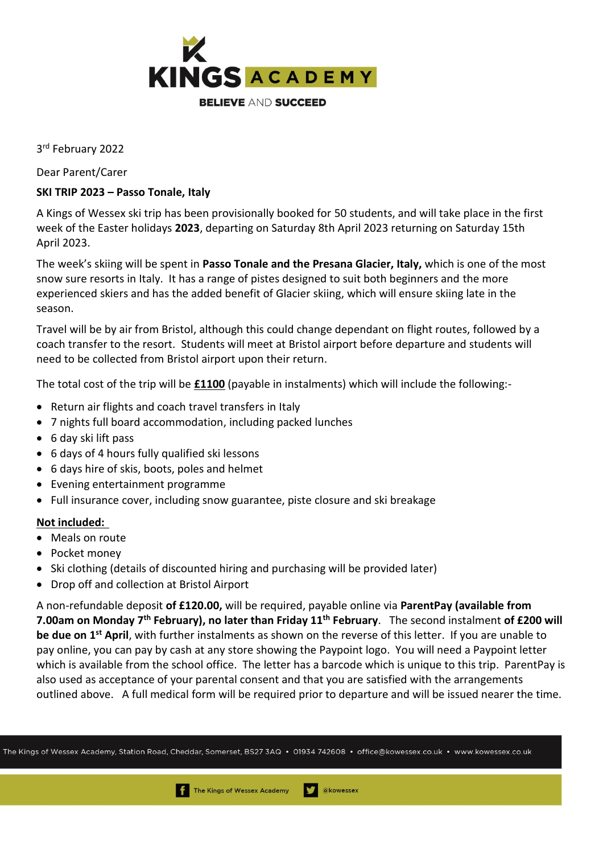

3 rd February 2022

Dear Parent/Carer

## **SKI TRIP 2023 – Passo Tonale, Italy**

A Kings of Wessex ski trip has been provisionally booked for 50 students, and will take place in the first week of the Easter holidays **2023**, departing on Saturday 8th April 2023 returning on Saturday 15th April 2023.

The week's skiing will be spent in **Passo Tonale and the Presana Glacier, Italy,** which is one of the most snow sure resorts in Italy. It has a range of pistes designed to suit both beginners and the more experienced skiers and has the added benefit of Glacier skiing, which will ensure skiing late in the season.

Travel will be by air from Bristol, although this could change dependant on flight routes, followed by a coach transfer to the resort. Students will meet at Bristol airport before departure and students will need to be collected from Bristol airport upon their return.

The total cost of the trip will be **£1100** (payable in instalments) which will include the following:-

- Return air flights and coach travel transfers in Italy
- 7 nights full board accommodation, including packed lunches
- 6 day ski lift pass
- 6 days of 4 hours fully qualified ski lessons
- 6 days hire of skis, boots, poles and helmet
- Evening entertainment programme
- Full insurance cover, including snow guarantee, piste closure and ski breakage

## **Not included:**

- Meals on route
- Pocket money
- Ski clothing (details of discounted hiring and purchasing will be provided later)
- Drop off and collection at Bristol Airport

A non-refundable deposit **of £120.00,** will be required, payable online via **ParentPay (available from 7.00am on Monday 7th February), no later than Friday 11th February**. The second instalment **of £200 will be due on 1st April**, with further instalments as shown on the reverse of this letter. If you are unable to pay online, you can pay by cash at any store showing the Paypoint logo. You will need a Paypoint letter which is available from the school office. The letter has a barcode which is unique to this trip. ParentPay is also used as acceptance of your parental consent and that you are satisfied with the arrangements outlined above. A full medical form will be required prior to departure and will be issued nearer the time.